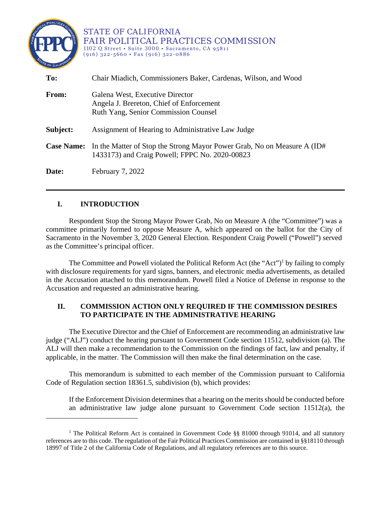

 $\overline{a}$ 

STATE OF CALIFORNIA FAIR POLITICAL PRACTICES COMMISSION 1102 Q Street • Suite 3000 • Sacramento, CA 95811  $(916)$  322-5660 • Fax  $(916)$  322-0886

| To:          | Chair Miadich, Commissioners Baker, Cardenas, Wilson, and Wood                                                                              |
|--------------|---------------------------------------------------------------------------------------------------------------------------------------------|
| <b>From:</b> | Galena West, Executive Director<br>Angela J. Brereton, Chief of Enforcement<br><b>Ruth Yang, Senior Commission Counsel</b>                  |
| Subject:     | Assignment of Hearing to Administrative Law Judge                                                                                           |
|              | <b>Case Name:</b> In the Matter of Stop the Strong Mayor Power Grab, No on Measure A (ID#<br>1433173) and Craig Powell; FPPC No. 2020-00823 |
| Date:        | February 7, 2022                                                                                                                            |

## **I. INTRODUCTION**

Respondent Stop the Strong Mayor Power Grab, No on Measure A (the "Committee") was a committee primarily formed to oppose Measure A, which appeared on the ballot for the City of Sacramento in the November 3, 2020 General Election. Respondent Craig Powell ("Powell") served as the Committee's principal officer.

The Committee and Powell violated the Political Reform Act (the "Act")<sup>[1](#page-0-0)</sup> by failing to comply with disclosure requirements for yard signs, banners, and electronic media advertisements, as detailed in the Accusation attached to this memorandum. Powell filed a Notice of Defense in response to the Accusation and requested an administrative hearing.

## **II. COMMISSION ACTION ONLY REQUIRED IF THE COMMISSION DESIRES TO PARTICIPATE IN THE ADMINISTRATIVE HEARING**

The Executive Director and the Chief of Enforcement are recommending an administrative law judge ("ALJ") conduct the hearing pursuant to Government Code section 11512, subdivision (a). The ALJ will then make a recommendation to the Commission on the findings of fact, law and penalty, if applicable, in the matter. The Commission will then make the final determination on the case.

This memorandum is submitted to each member of the Commission pursuant to California Code of Regulation section 18361.5, subdivision (b), which provides:

If the Enforcement Division determines that a hearing on the merits should be conducted before an administrative law judge alone pursuant to Government Code section  $11512(a)$ , the

<span id="page-0-0"></span><sup>&</sup>lt;sup>1</sup> The Political Reform Act is contained in Government Code §§ 81000 through 91014, and all statutory references are to this code. The regulation of the Fair Political Practices Commission are contained in §§18110 through 18997 of Title 2 of the California Code of Regulations, and all regulatory references are to this source.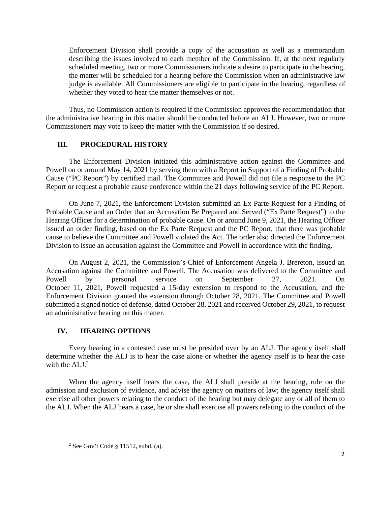Enforcement Division shall provide a copy of the accusation as well as a memorandum describing the issues involved to each member of the Commission. If, at the next regularly scheduled meeting, two or more Commissioners indicate a desire to participate in the hearing, the matter will be scheduled for a hearing before the Commission when an administrative law judge is available. All Commissioners are eligible to participate in the hearing, regardless of whether they voted to hear the matter themselves or not.

Thus, no Commission action is required if the Commission approves the recommendation that the administrative hearing in this matter should be conducted before an ALJ. However, two or more Commissioners may vote to keep the matter with the Commission if so desired.

### **III. PROCEDURAL HISTORY**

The Enforcement Division initiated this administrative action against the Committee and Powell on or around May 14, 2021 by serving them with a Report in Support of a Finding of Probable Cause ("PC Report") by certified mail. The Committee and Powell did not file a response to the PC Report or request a probable cause conference within the 21 days following service of the PC Report.

On June 7, 2021, the Enforcement Division submitted an Ex Parte Request for a Finding of Probable Cause and an Order that an Accusation Be Prepared and Served ("Ex Parte Request") to the Hearing Officer for a determination of probable cause. On or around June 9, 2021, the Hearing Officer issued an order finding, based on the Ex Parte Request and the PC Report, that there was probable cause to believe the Committee and Powell violated the Act. The order also directed the Enforcement Division to issue an accusation against the Committee and Powell in accordance with the finding.

On August 2, 2021, the Commission's Chief of Enforcement Angela J. Brereton, issued an Accusation against the Committee and Powell. The Accusation was delivered to the Committee and Powell by personal service on September 27, 2021. On October 11, 2021, Powell requested a 15-day extension to respond to the Accusation, and the Enforcement Division granted the extension through October 28, 2021. The Committee and Powell submitted a signed notice of defense, dated October 28, 2021 and received October 29, 2021, to request an administrative hearing on this matter.

### **IV. HEARING OPTIONS**

Every hearing in a contested case must be presided over by an ALJ. The agency itself shall determine whether the ALJ is to hear the case alone or whether the agency itself is to hear the case with the  $ALJ<sup>2</sup>$  $ALJ<sup>2</sup>$  $ALJ<sup>2</sup>$ 

When the agency itself hears the case, the ALJ shall preside at the hearing, rule on the admission and exclusion of evidence, and advise the agency on matters of law; the agency itself shall exercise all other powers relating to the conduct of the hearing but may delegate any or all of them to the ALJ. When the ALJ hears a case, he or she shall exercise all powers relating to the conduct of the

<span id="page-1-0"></span> $\overline{a}$ 

<sup>&</sup>lt;sup>2</sup> See Gov't Code  $\S$  11512, subd. (a).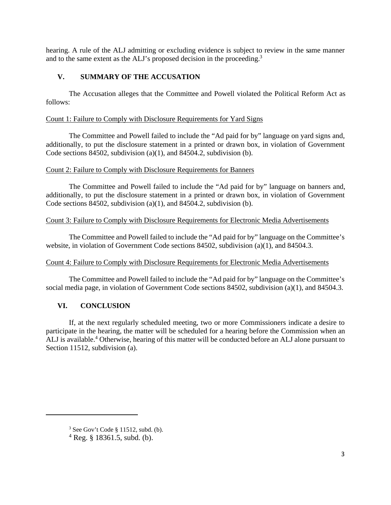hearing. A rule of the ALJ admitting or excluding evidence is subject to review in the same manner and to the same extent as the ALJ's proposed decision in the proceeding.<sup>[3](#page-2-0)</sup>

## **V. SUMMARY OF THE ACCUSATION**

The Accusation alleges that the Committee and Powell violated the Political Reform Act as follows:

#### Count 1: Failure to Comply with Disclosure Requirements for Yard Signs

The Committee and Powell failed to include the "Ad paid for by" language on yard signs and, additionally, to put the disclosure statement in a printed or drawn box, in violation of Government Code sections 84502, subdivision (a)(1), and 84504.2, subdivision (b).

#### Count 2: Failure to Comply with Disclosure Requirements for Banners

The Committee and Powell failed to include the "Ad paid for by" language on banners and, additionally, to put the disclosure statement in a printed or drawn box, in violation of Government Code sections 84502, subdivision (a)(1), and 84504.2, subdivision (b).

#### Count 3: Failure to Comply with Disclosure Requirements for Electronic Media Advertisements

The Committee and Powell failed to include the "Ad paid for by" language on the Committee's website, in violation of Government Code sections 84502, subdivision (a)(1), and 84504.3.

### Count 4: Failure to Comply with Disclosure Requirements for Electronic Media Advertisements

The Committee and Powell failed to include the "Ad paid for by" language on the Committee's social media page, in violation of Government Code sections 84502, subdivision (a)(1), and 84504.3.

### **VI. CONCLUSION**

<span id="page-2-0"></span> $\overline{a}$ 

If, at the next regularly scheduled meeting, two or more Commissioners indicate a desire to participate in the hearing, the matter will be scheduled for a hearing before the Commission when an ALJ is available.<sup>[4](#page-2-1)</sup> Otherwise, hearing of this matter will be conducted before an ALJ alone pursuant to Section 11512, subdivision (a).

 $3$  See Gov't Code § 11512, subd. (b).

<span id="page-2-1"></span> $4$  Reg. § 18361.5, subd. (b).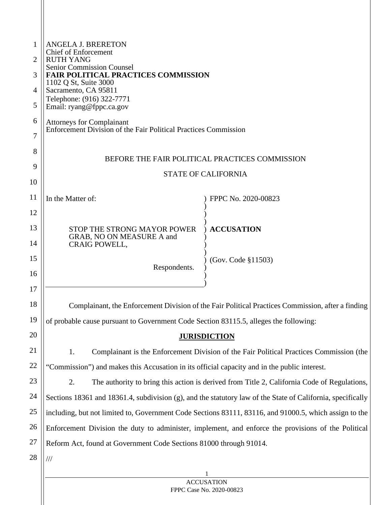| 1  | <b>ANGELA J. BRERETON</b><br><b>Chief of Enforcement</b>                                     |                                                                                                             |  |
|----|----------------------------------------------------------------------------------------------|-------------------------------------------------------------------------------------------------------------|--|
| 2  | <b>RUTH YANG</b><br><b>Senior Commission Counsel</b>                                         |                                                                                                             |  |
| 3  | <b>FAIR POLITICAL PRACTICES COMMISSION</b>                                                   |                                                                                                             |  |
| 4  | 1102 Q St, Suite 3000<br>Sacramento, CA 95811                                                |                                                                                                             |  |
| 5  | Telephone: (916) 322-7771<br>Email: ryang@fppc.ca.gov                                        |                                                                                                             |  |
| 6  | <b>Attorneys for Complainant</b>                                                             |                                                                                                             |  |
| 7  | Enforcement Division of the Fair Political Practices Commission                              |                                                                                                             |  |
| 8  |                                                                                              |                                                                                                             |  |
| 9  |                                                                                              | BEFORE THE FAIR POLITICAL PRACTICES COMMISSION                                                              |  |
| 10 |                                                                                              | <b>STATE OF CALIFORNIA</b>                                                                                  |  |
| 11 | In the Matter of:                                                                            | FPPC No. 2020-00823                                                                                         |  |
| 12 |                                                                                              |                                                                                                             |  |
| 13 | STOP THE STRONG MAYOR POWER                                                                  | <b>ACCUSATION</b>                                                                                           |  |
| 14 | GRAB, NO ON MEASURE A and<br><b>CRAIG POWELL,</b>                                            |                                                                                                             |  |
| 15 |                                                                                              | (Gov. Code §11503)                                                                                          |  |
| 16 | Respondents.                                                                                 |                                                                                                             |  |
| 17 |                                                                                              |                                                                                                             |  |
| 18 |                                                                                              | Complainant, the Enforcement Division of the Fair Political Practices Commission, after a finding           |  |
| 19 | of probable cause pursuant to Government Code Section 83115.5, alleges the following:        |                                                                                                             |  |
| 20 |                                                                                              | <b>JURISDICTION</b>                                                                                         |  |
| 21 | 1.                                                                                           | Complainant is the Enforcement Division of the Fair Political Practices Commission (the                     |  |
| 22 | "Commission") and makes this Accusation in its official capacity and in the public interest. |                                                                                                             |  |
| 23 | 2.                                                                                           | The authority to bring this action is derived from Title 2, California Code of Regulations,                 |  |
| 24 |                                                                                              | Sections 18361 and 18361.4, subdivision (g), and the statutory law of the State of California, specifically |  |
| 25 |                                                                                              | including, but not limited to, Government Code Sections 83111, 83116, and 91000.5, which assign to the      |  |
| 26 |                                                                                              | Enforcement Division the duty to administer, implement, and enforce the provisions of the Political         |  |
| 27 | Reform Act, found at Government Code Sections 81000 through 91014.                           |                                                                                                             |  |
| 28 | $\frac{1}{1}$                                                                                |                                                                                                             |  |
|    |                                                                                              | <b>ACCUSATION</b>                                                                                           |  |
|    |                                                                                              |                                                                                                             |  |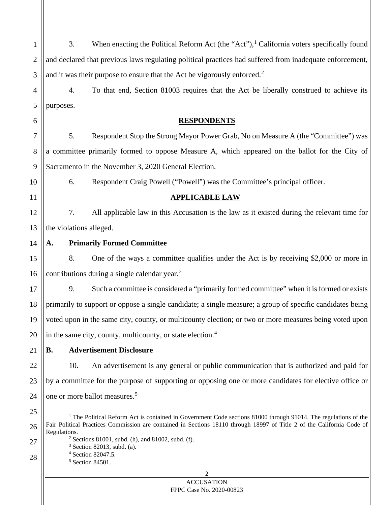<span id="page-4-4"></span><span id="page-4-3"></span><span id="page-4-2"></span><span id="page-4-1"></span><span id="page-4-0"></span>

| 1              | When enacting the Political Reform Act (the "Act"), <sup>1</sup> California voters specifically found<br>3.                            |  |
|----------------|----------------------------------------------------------------------------------------------------------------------------------------|--|
| $\overline{2}$ | and declared that previous laws regulating political practices had suffered from inadequate enforcement,                               |  |
| 3              | and it was their purpose to ensure that the Act be vigorously enforced. <sup>2</sup>                                                   |  |
| 4              | To that end, Section 81003 requires that the Act be liberally construed to achieve its<br>4.                                           |  |
| 5              | purposes.                                                                                                                              |  |
| 6              | <b>RESPONDENTS</b>                                                                                                                     |  |
| 7              | 5.<br>Respondent Stop the Strong Mayor Power Grab, No on Measure A (the "Committee") was                                               |  |
| 8              | a committee primarily formed to oppose Measure A, which appeared on the ballot for the City of                                         |  |
| 9              | Sacramento in the November 3, 2020 General Election.                                                                                   |  |
| 10             | Respondent Craig Powell ("Powell") was the Committee's principal officer.<br>6.                                                        |  |
| 11             | <b>APPLICABLE LAW</b>                                                                                                                  |  |
| 12             | 7.<br>All applicable law in this Accusation is the law as it existed during the relevant time for                                      |  |
| 13             | the violations alleged.                                                                                                                |  |
| 14             | <b>Primarily Formed Committee</b><br>А.                                                                                                |  |
| 15             | 8.<br>One of the ways a committee qualifies under the Act is by receiving \$2,000 or more in                                           |  |
| 16             | contributions during a single calendar year. <sup>3</sup>                                                                              |  |
| 17             | 9.<br>Such a committee is considered a "primarily formed committee" when it is formed or exists                                        |  |
| 18             | primarily to support or oppose a single candidate; a single measure; a group of specific candidates being                              |  |
| 19             | voted upon in the same city, county, or multicounty election; or two or more measures being voted upon                                 |  |
| 20             | in the same city, county, multicounty, or state election. <sup>4</sup>                                                                 |  |
| 21             | <b>Advertisement Disclosure</b><br>В.                                                                                                  |  |
| 22             | An advertisement is any general or public communication that is authorized and paid for<br>10.                                         |  |
| 23             | by a committee for the purpose of supporting or opposing one or more candidates for elective office or                                 |  |
| 24             | one or more ballot measures. <sup>5</sup>                                                                                              |  |
| 25             | <sup>1</sup> The Political Reform Act is contained in Government Code sections 81000 through 91014. The regulations of the             |  |
| 26             | Fair Political Practices Commission are contained in Sections 18110 through 18997 of Title 2 of the California Code of<br>Regulations. |  |
| 27             | $2$ Sections 81001, subd. (h), and 81002, subd. (f).<br>$3$ Section 82013, subd. (a).                                                  |  |
| 28             | <sup>4</sup> Section 82047.5.<br>$5$ Section 84501.                                                                                    |  |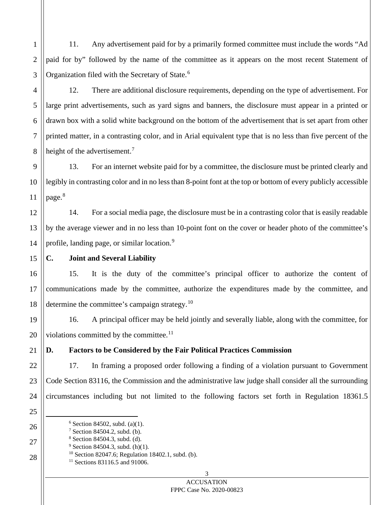11. Any advertisement paid for by a primarily formed committee must include the words "Ad paid for by" followed by the name of the committee as it appears on the most recent Statement of Organization filed with the Secretary of State.<sup>[6](#page-5-0)</sup>

12. There are additional disclosure requirements, depending on the type of advertisement. For large print advertisements, such as yard signs and banners, the disclosure must appear in a printed or drawn box with a solid white background on the bottom of the advertisement that is set apart from other printed matter, in a contrasting color, and in Arial equivalent type that is no less than five percent of the height of the advertisement.<sup>[7](#page-5-1)</sup>

13. For an internet website paid for by a committee, the disclosure must be printed clearly and legibly in contrasting color and in no less than 8-point font at the top or bottom of every publicly accessible page.<sup>[8](#page-5-2)</sup>

14. For a social media page, the disclosure must be in a contrasting color that is easily readable by the average viewer and in no less than 10-point font on the cover or header photo of the committee's profile, landing page, or similar location.<sup>[9](#page-5-3)</sup>

## **C. Joint and Several Liability**

15. It is the duty of the committee's principal officer to authorize the content of communications made by the committee, authorize the expenditures made by the committee, and determine the committee's campaign strategy.<sup>[10](#page-5-4)</sup>

16. A principal officer may be held jointly and severally liable, along with the committee, for violations committed by the committee.<sup>[11](#page-5-5)</sup>

# **D. Factors to be Considered by the Fair Political Practices Commission**

17. In framing a proposed order following a finding of a violation pursuant to Government Code Section 83116, the Commission and the administrative law judge shall consider all the surrounding circumstances including but not limited to the following factors set forth in Regulation 18361.5

- <span id="page-5-3"></span><span id="page-5-2"></span><span id="page-5-1"></span><span id="page-5-0"></span> $6$  Section 84502, subd. (a)(1).
- <sup>7</sup> Section 84504.2, subd. (b).
- <sup>8</sup> Section 84504.3, subd. (d).
- <span id="page-5-5"></span><span id="page-5-4"></span> $9$  Section 84504.3, subd. (h)(1).
- $10$  Section 82047.6; Regulation 18402.1, subd. (b).
- <sup>11</sup> Sections 83116.5 and 91006.

#### 3 **ACCUSATION** FPPC Case No. 2020-00823

1

2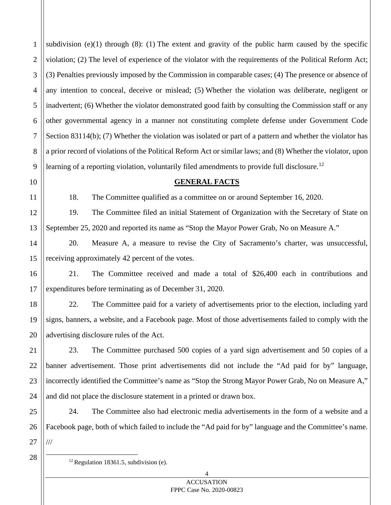1 2 3 4 5 6 7 8 9 subdivision  $(e)(1)$  through  $(8)$ :  $(1)$  The extent and gravity of the public harm caused by the specific violation; (2) The level of experience of the violator with the requirements of the Political Reform Act; (3) Penalties previously imposed by the Commission in comparable cases; (4) The presence or absence of any intention to conceal, deceive or mislead; (5) Whether the violation was deliberate, negligent or inadvertent; (6) Whether the violator demonstrated good faith by consulting the Commission staff or any other governmental agency in a manner not constituting complete defense under Government Code Section 83114(b); (7) Whether the violation was isolated or part of a pattern and whether the violator has a prior record of violations of the Political Reform Act or similar laws; and (8) Whether the violator, upon learning of a reporting violation, voluntarily filed amendments to provide full disclosure.<sup>[12](#page-6-0)</sup>

18. The Committee qualified as a committee on or around September 16, 2020.

**GENERAL FACTS**

12 13 19. The Committee filed an initial Statement of Organization with the Secretary of State on September 25, 2020 and reported its name as "Stop the Mayor Power Grab, No on Measure A."

14 20. Measure A, a measure to revise the City of Sacramento's charter, was unsuccessful, receiving approximately 42 percent of the votes.

16 17 21. The Committee received and made a total of \$26,400 each in contributions and expenditures before terminating as of December 31, 2020.

18 19 20 22. The Committee paid for a variety of advertisements prior to the election, including yard signs, banners, a website, and a Facebook page. Most of those advertisements failed to comply with the advertising disclosure rules of the Act.

23. The Committee purchased 500 copies of a yard sign advertisement and 50 copies of a banner advertisement. Those print advertisements did not include the "Ad paid for by" language, incorrectly identified the Committee's name as "Stop the Strong Mayor Power Grab, No on Measure A," and did not place the disclosure statement in a printed or drawn box.

25 26 24. The Committee also had electronic media advertisements in the form of a website and a Facebook page, both of which failed to include the "Ad paid for by" language and the Committee's name. ///

<span id="page-6-0"></span>27 28

10

11

15

21

22

23

24

 $12$  Regulation 18361.5, subdivision (e).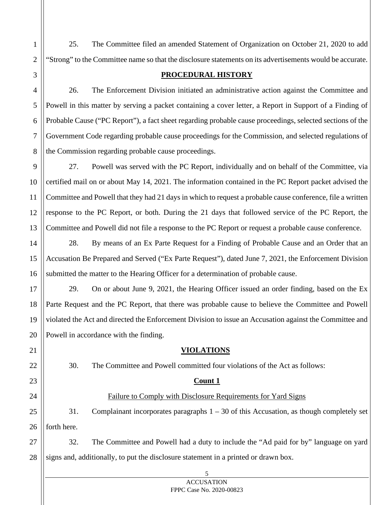25. The Committee filed an amended Statement of Organization on October 21, 2020 to add "Strong" to the Committee name so that the disclosure statements on its advertisements would be accurate.

### **PROCEDURAL HISTORY**

26. The Enforcement Division initiated an administrative action against the Committee and Powell in this matter by serving a packet containing a cover letter, a Report in Support of a Finding of Probable Cause ("PC Report"), a fact sheet regarding probable cause proceedings, selected sections of the Government Code regarding probable cause proceedings for the Commission, and selected regulations of the Commission regarding probable cause proceedings.

27. Powell was served with the PC Report, individually and on behalf of the Committee, via certified mail on or about May 14, 2021. The information contained in the PC Report packet advised the Committee and Powell that they had 21 days in which to request a probable cause conference, file a written response to the PC Report, or both. During the 21 days that followed service of the PC Report, the Committee and Powell did not file a response to the PC Report or request a probable cause conference.

28. By means of an Ex Parte Request for a Finding of Probable Cause and an Order that an Accusation Be Prepared and Served ("Ex Parte Request"), dated June 7, 2021, the Enforcement Division submitted the matter to the Hearing Officer for a determination of probable cause.

29. On or about June 9, 2021, the Hearing Officer issued an order finding, based on the Ex Parte Request and the PC Report, that there was probable cause to believe the Committee and Powell violated the Act and directed the Enforcement Division to issue an Accusation against the Committee and Powell in accordance with the finding.

### **VIOLATIONS**

30. The Committee and Powell committed four violations of the Act as follows:

### **Count 1**

## Failure to Comply with Disclosure Requirements for Yard Signs

31. Complainant incorporates paragraphs 1 – 30 of this Accusation, as though completely set forth here.

32. The Committee and Powell had a duty to include the "Ad paid for by" language on yard signs and, additionally, to put the disclosure statement in a printed or drawn box.

#### 5 **ACCUSATION** FPPC Case No. 2020-00823

1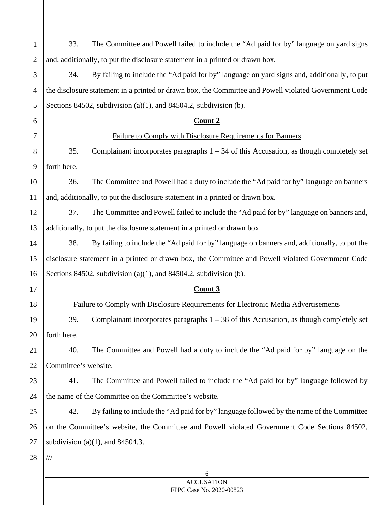| $\mathbf{1}$   | 33.                                                                                           | The Committee and Powell failed to include the "Ad paid for by" language on yard signs                |  |
|----------------|-----------------------------------------------------------------------------------------------|-------------------------------------------------------------------------------------------------------|--|
| $\overline{2}$ |                                                                                               | and, additionally, to put the disclosure statement in a printed or drawn box.                         |  |
| 3              | 34.                                                                                           | By failing to include the "Ad paid for by" language on yard signs and, additionally, to put           |  |
| 4              |                                                                                               | the disclosure statement in a printed or drawn box, the Committee and Powell violated Government Code |  |
| 5              |                                                                                               | Sections 84502, subdivision (a)(1), and 84504.2, subdivision (b).                                     |  |
| 6              |                                                                                               | <u>Count 2</u>                                                                                        |  |
| 7              | Failure to Comply with Disclosure Requirements for Banners                                    |                                                                                                       |  |
| 8              | 35.                                                                                           | Complainant incorporates paragraphs $1 - 34$ of this Accusation, as though completely set             |  |
| 9              | forth here.                                                                                   |                                                                                                       |  |
| 10             | 36.                                                                                           | The Committee and Powell had a duty to include the "Ad paid for by" language on banners               |  |
| 11             |                                                                                               | and, additionally, to put the disclosure statement in a printed or drawn box.                         |  |
| 12             | 37.                                                                                           | The Committee and Powell failed to include the "Ad paid for by" language on banners and,              |  |
| 13             |                                                                                               | additionally, to put the disclosure statement in a printed or drawn box.                              |  |
| 14             | 38.                                                                                           | By failing to include the "Ad paid for by" language on banners and, additionally, to put the          |  |
| 15             |                                                                                               | disclosure statement in a printed or drawn box, the Committee and Powell violated Government Code     |  |
| 16             | Sections 84502, subdivision (a)(1), and 84504.2, subdivision (b).                             |                                                                                                       |  |
| 17             |                                                                                               | Count 3                                                                                               |  |
| 18             |                                                                                               | Failure to Comply with Disclosure Requirements for Electronic Media Advertisements                    |  |
| 19             | 39.                                                                                           | Complainant incorporates paragraphs $1 - 38$ of this Accusation, as though completely set             |  |
| 20             | forth here.                                                                                   |                                                                                                       |  |
| 21             | 40.                                                                                           | The Committee and Powell had a duty to include the "Ad paid for by" language on the                   |  |
| 22             | Committee's website.                                                                          |                                                                                                       |  |
| 23             | 41.                                                                                           | The Committee and Powell failed to include the "Ad paid for by" language followed by                  |  |
| 24             |                                                                                               | the name of the Committee on the Committee's website.                                                 |  |
| 25             | 42.                                                                                           | By failing to include the "Ad paid for by" language followed by the name of the Committee             |  |
| 26             | on the Committee's website, the Committee and Powell violated Government Code Sections 84502, |                                                                                                       |  |
| 27             | subdivision (a) $(1)$ , and 84504.3.                                                          |                                                                                                       |  |
| 28             | $\frac{1}{1}$                                                                                 |                                                                                                       |  |
|                |                                                                                               | 6                                                                                                     |  |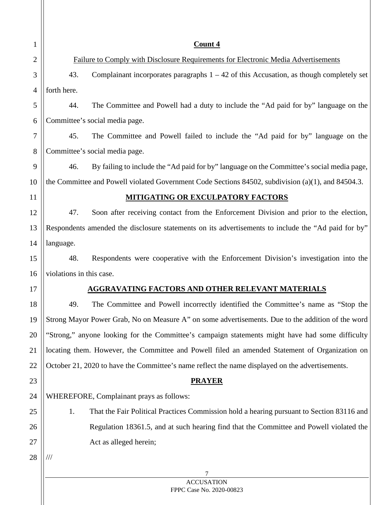| $\mathbf{1}$   | Count 4                                                                                               |  |
|----------------|-------------------------------------------------------------------------------------------------------|--|
| $\overline{2}$ | Failure to Comply with Disclosure Requirements for Electronic Media Advertisements                    |  |
| 3              | 43.<br>Complainant incorporates paragraphs $1 - 42$ of this Accusation, as though completely set      |  |
| $\overline{4}$ | forth here.                                                                                           |  |
| 5              | The Committee and Powell had a duty to include the "Ad paid for by" language on the<br>44.            |  |
| 6              | Committee's social media page.                                                                        |  |
| 7              | 45.<br>The Committee and Powell failed to include the "Ad paid for by" language on the                |  |
| 8              | Committee's social media page.                                                                        |  |
| 9              | 46.<br>By failing to include the "Ad paid for by" language on the Committee's social media page,      |  |
| 10             | the Committee and Powell violated Government Code Sections 84502, subdivision $(a)(1)$ , and 84504.3. |  |
| 11             | <b>MITIGATING OR EXCULPATORY FACTORS</b>                                                              |  |
| 12             | 47.<br>Soon after receiving contact from the Enforcement Division and prior to the election,          |  |
| 13             | Respondents amended the disclosure statements on its advertisements to include the "Ad paid for by"   |  |
| 14             | language.                                                                                             |  |
| 15             | 48.<br>Respondents were cooperative with the Enforcement Division's investigation into the            |  |
| 16             | violations in this case.                                                                              |  |
| 17             | AGGRAVATING FACTORS AND OTHER RELEVANT MATERIALS                                                      |  |
| 18             | The Committee and Powell incorrectly identified the Committee's name as "Stop the<br>49.              |  |
| 19             | Strong Mayor Power Grab, No on Measure A" on some advertisements. Due to the addition of the word     |  |
| 20             | "Strong," anyone looking for the Committee's campaign statements might have had some difficulty       |  |
| 21             | locating them. However, the Committee and Powell filed an amended Statement of Organization on        |  |
| 22             | October 21, 2020 to have the Committee's name reflect the name displayed on the advertisements.       |  |
| 23             | <b>PRAYER</b>                                                                                         |  |
| 24             | WHEREFORE, Complainant prays as follows:                                                              |  |
| 25             | 1.<br>That the Fair Political Practices Commission hold a hearing pursuant to Section 83116 and       |  |
| 26             | Regulation 18361.5, and at such hearing find that the Committee and Powell violated the               |  |
| 27             | Act as alleged herein;                                                                                |  |
| 28             | ///                                                                                                   |  |
|                | 7                                                                                                     |  |
|                | <b>ACCUSATION</b><br>FPPC Case No. 2020-00823                                                         |  |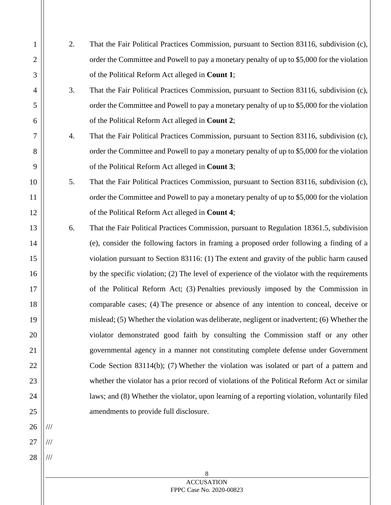2. That the Fair Political Practices Commission, pursuant to Section 83116, subdivision (c), order the Committee and Powell to pay a monetary penalty of up to \$5,000 for the violation of the Political Reform Act alleged in **Count 1**;

1

2

3

4

5

6

7

8

9

10

11

12

13

14

15

16

17

18

19

20

21

22

23

24

25

26

///

///

///

27

28

- 3. That the Fair Political Practices Commission, pursuant to Section 83116, subdivision (c), order the Committee and Powell to pay a monetary penalty of up to \$5,000 for the violation of the Political Reform Act alleged in **Count 2**;
- 4. That the Fair Political Practices Commission, pursuant to Section 83116, subdivision (c), order the Committee and Powell to pay a monetary penalty of up to \$5,000 for the violation of the Political Reform Act alleged in **Count 3**;
- 5. That the Fair Political Practices Commission, pursuant to Section 83116, subdivision (c), order the Committee and Powell to pay a monetary penalty of up to \$5,000 for the violation of the Political Reform Act alleged in **Count 4**;
- 6. That the Fair Political Practices Commission, pursuant to Regulation 18361.5, subdivision (e), consider the following factors in framing a proposed order following a finding of a violation pursuant to Section 83116: (1) The extent and gravity of the public harm caused by the specific violation; (2) The level of experience of the violator with the requirements of the Political Reform Act; (3) Penalties previously imposed by the Commission in comparable cases; (4) The presence or absence of any intention to conceal, deceive or mislead; (5) Whether the violation was deliberate, negligent or inadvertent; (6) Whether the violator demonstrated good faith by consulting the Commission staff or any other governmental agency in a manner not constituting complete defense under Government Code Section 83114(b); (7) Whether the violation was isolated or part of a pattern and whether the violator has a prior record of violations of the Political Reform Act or similar laws; and (8) Whether the violator, upon learning of a reporting violation, voluntarily filed amendments to provide full disclosure.

8 **ACCUSATION** FPPC Case No. 2020-00823